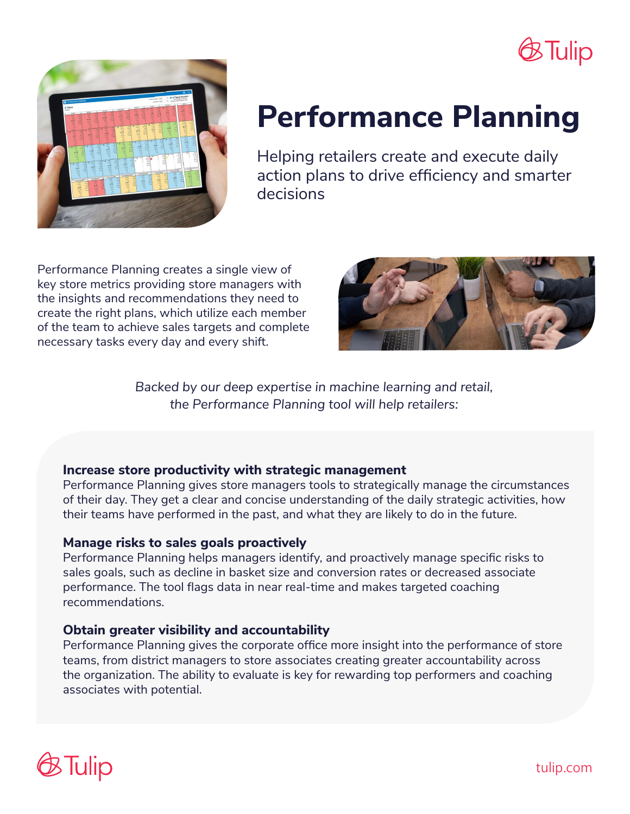



# **Performance Planning**

Helping retailers create and execute daily action plans to drive efficiency and smarter decisions

Performance Planning creates a single view of key store metrics providing store managers with the insights and recommendations they need to create the right plans, which utilize each member of the team to achieve sales targets and complete necessary tasks every day and every shift.



*Backed by our deep expertise in machine learning and retail, the Performance Planning tool will help retailers:*

#### **Increase store productivity with strategic management**

Performance Planning gives store managers tools to strategically manage the circumstances of their day. They get a clear and concise understanding of the daily strategic activities, how their teams have performed in the past, and what they are likely to do in the future.

#### **Manage risks to sales goals proactively**

Performance Planning helps managers identify, and proactively manage specific risks to sales goals, such as decline in basket size and conversion rates or decreased associate performance. The tool flags data in near real-time and makes targeted coaching recommendations.

#### **Obtain greater visibility and accountability**

Performance Planning gives the corporate office more insight into the performance of store teams, from district managers to store associates creating greater accountability across the organization. The ability to evaluate is key for rewarding top performers and coaching associates with potential.



tulip.com